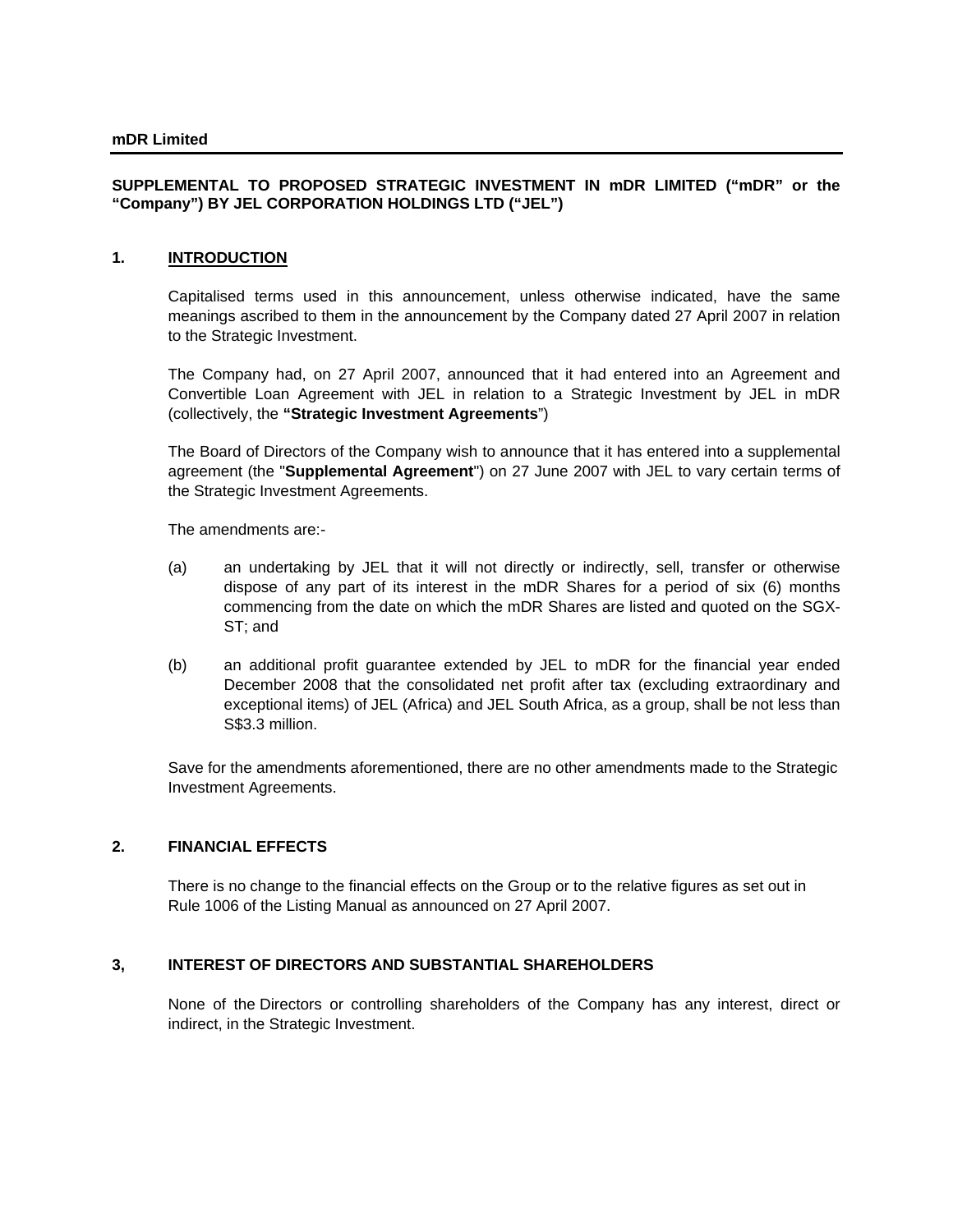## **SUPPLEMENTAL TO PROPOSED STRATEGIC INVESTMENT IN mDR LIMITED ("mDR" or the "Company") BY JEL CORPORATION HOLDINGS LTD ("JEL")**

## **1. INTRODUCTION**

Capitalised terms used in this announcement, unless otherwise indicated, have the same meanings ascribed to them in the announcement by the Company dated 27 April 2007 in relation to the Strategic Investment.

The Company had, on 27 April 2007, announced that it had entered into an Agreement and Convertible Loan Agreement with JEL in relation to a Strategic Investment by JEL in mDR (collectively, the **"Strategic Investment Agreements**")

The Board of Directors of the Company wish to announce that it has entered into a supplemental agreement (the "**Supplemental Agreement**") on 27 June 2007 with JEL to vary certain terms of the Strategic Investment Agreements.

The amendments are:-

- (a) an undertaking by JEL that it will not directly or indirectly, sell, transfer or otherwise dispose of any part of its interest in the mDR Shares for a period of six (6) months commencing from the date on which the mDR Shares are listed and quoted on the SGX-ST; and
- (b) an additional profit guarantee extended by JEL to mDR for the financial year ended December 2008 that the consolidated net profit after tax (excluding extraordinary and exceptional items) of JEL (Africa) and JEL South Africa, as a group, shall be not less than S\$3.3 million.

Save for the amendments aforementioned, there are no other amendments made to the Strategic Investment Agreements.

### **2. FINANCIAL EFFECTS**

There is no change to the financial effects on the Group or to the relative figures as set out in Rule 1006 of the Listing Manual as announced on 27 April 2007.

#### **3, INTEREST OF DIRECTORS AND SUBSTANTIAL SHAREHOLDERS**

None of the Directors or controlling shareholders of the Company has any interest, direct or indirect, in the Strategic Investment.